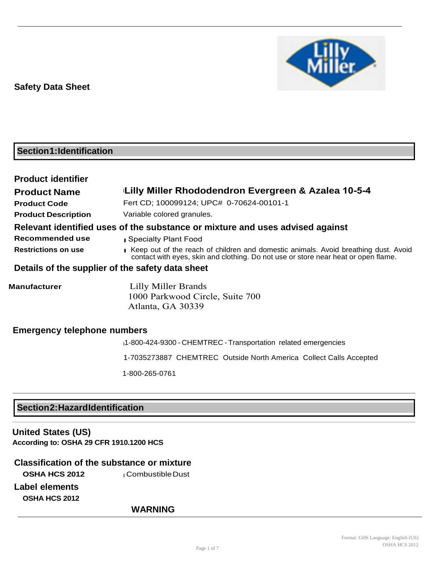

# **Section1:Identification**

| <b>Product identifier</b>          |                                                                                                                                                                           |
|------------------------------------|---------------------------------------------------------------------------------------------------------------------------------------------------------------------------|
| <b>Product Name</b>                | Lilly Miller Rhododendron Evergreen & Azalea 10-5-4                                                                                                                       |
| <b>Product Code</b>                | Fert CD; 100099124; UPC# 0-70624-00101-1                                                                                                                                  |
| <b>Product Description</b>         | Variable colored granules.                                                                                                                                                |
|                                    | Relevant identified uses of the substance or mixture and uses advised against                                                                                             |
| Recommended use                    | Specialty Plant Food                                                                                                                                                      |
| <b>Restrictions on use</b>         | Keep out of the reach of children and domestic animals. Avoid breathing dust. Avoid<br>contact with eyes, skin and clothing. Do not use or store near heat or open flame. |
|                                    | Details of the supplier of the safety data sheet                                                                                                                          |
| <b>Manufacturer</b>                | Lilly Miller Brands<br>1000 Parkwood Circle, Suite 700<br>Atlanta, GA 30339                                                                                               |
| <b>Emergency telephone numbers</b> |                                                                                                                                                                           |

<sup>l</sup>1-800-424-9300 - CHEMTREC - Transportation related emergencies

1-7035273887 CHEMTREC Outside North America Collect Calls Accepted

1-800-265-0761

# **Section2:HazardIdentification**

**United States (US) According to: OSHA 29 CFR 1910.1200 HCS**

# **Classification of the substance or mixture**

**OSHA HCS 2012 l** Combustible Dust

**Label elements OSHA HCS 2012**

# **WARNING**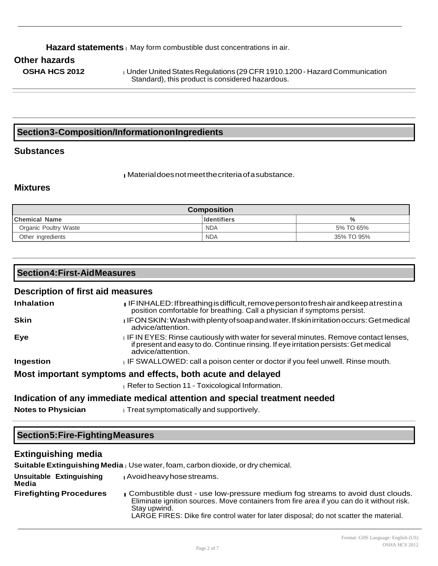#### Hazard statements | May form combustible dust concentrations in air.

### **Other hazards**

**OSHA HCS 2012 lunder United States Regulations (29 CFR 1910.1200 - Hazard Communication** Standard), this product is considered hazardous.

### **Section3-Composition/InformationonIngredients**

### **Substances**

l Material does not meet the criteria of a substance.

#### **Mixtures**

| <b>Composition</b>    |                    |            |
|-----------------------|--------------------|------------|
| <b>Chemical Name</b>  | <b>Identifiers</b> | $\%$       |
| Organic Poultry Waste | <b>NDA</b>         | 5% TO 65%  |
| Other ingredients     | <b>NDA</b>         | 35% TO 95% |

# **Section4:First-AidMeasures Description of first aid measures Inhalation <b>Inhalation** IF INHALED: If breathing is difficult, remove person to fresh air and keep at rest in a position comfortable for breathing. Call a physician if symptoms persist. **Skin lif ON SKIN: Wash with plenty of soap and water. If skin irritation occurs: Get medical** advice/attention. **Eye Example 20 IF IN EYES:** Rinse cautiously with water for several minutes. Remove contact lenses, if present and easy to do. Continue rinsing. If eye irritation persists: Get medical advice/attention. **Ingestion lif SWALLOWED: call a poison center or doctor if you feel unwell. Rinse mouth. Most important symptoms and effects, both acute and delayed** I Refer to Section 11 - Toxicological Information. **Indication of any immediate medical attention and special treatment needed Notes to Physician letter in Treat symptomatically and supportively.**

### **Section5:Fire-FightingMeasures**

### **Extinguishing media**

**Suitable Extinguishing Media** l Use water, foam, carbon dioxide, or dry chemical.

| Unsuitable Extinguishing<br>Media | I Avoid heavy hose streams.                                                                                                                                                                                                                                                        |
|-----------------------------------|------------------------------------------------------------------------------------------------------------------------------------------------------------------------------------------------------------------------------------------------------------------------------------|
| <b>Firefighting Procedures</b>    | Combustible dust - use low-pressure medium fog streams to avoid dust clouds.<br>Eliminate ignition sources. Move containers from fire area if you can do it without risk.<br>Stay upwind.<br>LARGE FIRES: Dike fire control water for later disposal; do not scatter the material. |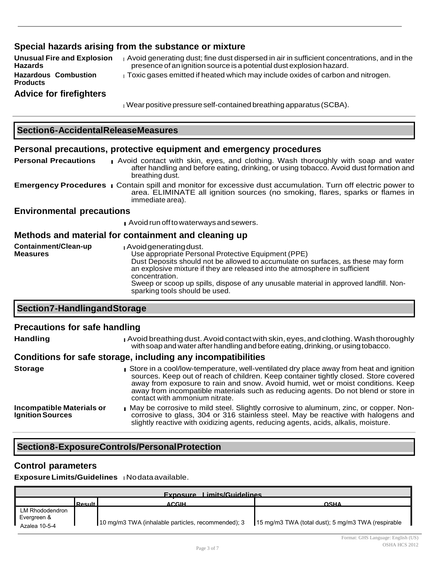### **Special hazards arising from the substance or mixture**

**Unusual Fire and Explosion Hazards Hazardous Combustion Products Advice for firefighters** <sup>l</sup>Avoid generating dust; fine dust dispersed in air in sufficient concentrations, and in the presence of an ignition source is a potential dust explosion hazard.  $\frac{1}{1}$  Toxic gases emitted if heated which may include oxides of carbon and nitrogen.

<sup>l</sup>Wear positive pressure self-contained breathing apparatus (SCBA).

#### **Section6-AccidentalReleaseMeasures**

#### **Personal precautions, protective equipment and emergency procedures**

**Personal Precautions i** Avoid contact with skin, eyes, and clothing. Wash thoroughly with soap and water after handling and before eating, drinking, or using tobacco. Avoid dust formation and breathing dust.

**Emergency Procedures** l Contain spill and monitor for excessive dust accumulation. Turn off electric power to area. ELIMINATE all ignition sources (no smoking, flares, sparks or flames in immediate area).

#### **Environmental precautions**

l Avoid run off to waterways and sewers.

#### **Methods and material for containment and cleaning up**

| Containment/Clean-up<br><b>Measures</b> | J Avoid generating dust.<br>Use appropriate Personal Protective Equipment (PPE)<br>Dust Deposits should not be allowed to accumulate on surfaces, as these may form<br>an explosive mixture if they are released into the atmosphere in sufficient<br>concentration. |
|-----------------------------------------|----------------------------------------------------------------------------------------------------------------------------------------------------------------------------------------------------------------------------------------------------------------------|
|                                         | Sweep or scoop up spills, dispose of any unusable material in approved landfill. Non-<br>sparking tools should be used.                                                                                                                                              |

### **Section7-HandlingandStorage**

#### **Precautions for safe handling**

| <b>Handling</b> | <b>Avoid breathing dust. Avoid contact with skin, eyes, and clothing. Wash thoroughly</b> |
|-----------------|-------------------------------------------------------------------------------------------|
|                 | with soap and water after handling and before eating, drinking, or using tobacco.         |

#### **Conditions for safe storage, including any incompatibilities**

**Storage late in a cool/low-temperature, well-ventilated dry place away from heat and ignition** sources. Keep out of reach of children. Keep container tightly closed. Store covered away from exposure to rain and snow. Avoid humid, wet or moist conditions. Keep away from incompatible materials such as reducing agents. Do not blend or store in contact with ammonium nitrate. **Incompatible Materials or Ignition Sources** I May be corrosive to mild steel. Slightly corrosive to aluminum, zinc, or copper. Noncorrosive to glass, 304 or 316 stainless steel. May be reactive with halogens and

slightly reactive with oxidizing agents, reducing agents, acids, alkalis, moisture.

### **Section8-ExposureControls/PersonalProtection**

#### **Control parameters**

### **Exposure Limits/Guidelines I** No data available.

| Limits/Guidelines<br><b>Exposure</b>            |            |                                                    |                                                    |
|-------------------------------------------------|------------|----------------------------------------------------|----------------------------------------------------|
|                                                 | l Result l | <b>ACGIH</b>                                       | <b>OSHA</b>                                        |
| LM Rhododendron<br>Evergreen &<br>Azalea 10-5-4 |            | 10 mg/m3 TWA (inhalable particles, recommended); 3 | 15 mg/m3 TWA (total dust); 5 mg/m3 TWA (respirable |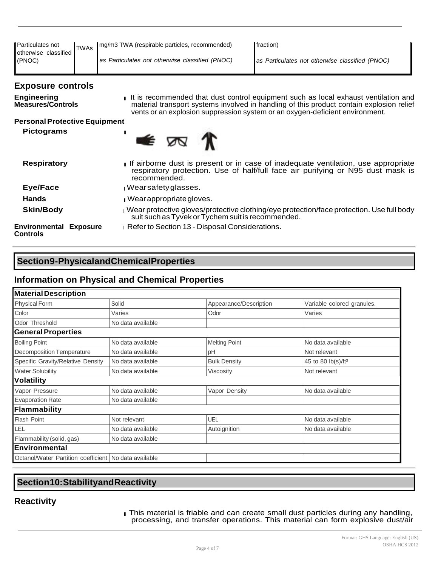| Particulates not<br>otherwise classified<br>(PNOC) | <b>TWAs</b> | mg/m3 TWA (respirable particles, recommended)<br>as Particulates not otherwise classified (PNOC)                                                                                     | fraction)<br>as Particulates not otherwise classified (PNOC)                                                                                                                                                                                                    |  |
|----------------------------------------------------|-------------|--------------------------------------------------------------------------------------------------------------------------------------------------------------------------------------|-----------------------------------------------------------------------------------------------------------------------------------------------------------------------------------------------------------------------------------------------------------------|--|
| <b>Exposure controls</b>                           |             |                                                                                                                                                                                      |                                                                                                                                                                                                                                                                 |  |
| <b>Engineering</b><br><b>Measures/Controls</b>     |             |                                                                                                                                                                                      | It is recommended that dust control equipment such as local exhaust ventilation and<br>material transport systems involved in handling of this product contain explosion relief<br>vents or an explosion suppression system or an oxygen-deficient environment. |  |
| <b>Personal Protective Equipment</b>               |             |                                                                                                                                                                                      |                                                                                                                                                                                                                                                                 |  |
| <b>Pictograms</b>                                  |             | • ⊠                                                                                                                                                                                  |                                                                                                                                                                                                                                                                 |  |
| <b>Respiratory</b>                                 |             | If airborne dust is present or in case of inadequate ventilation, use appropriate<br>respiratory protection. Use of half/full face air purifying or N95 dust mask is<br>recommended. |                                                                                                                                                                                                                                                                 |  |
| Eye/Face                                           |             | I Wearsafety glasses.                                                                                                                                                                |                                                                                                                                                                                                                                                                 |  |
| <b>Hands</b>                                       |             | <b>Nearappropriate gloves.</b>                                                                                                                                                       |                                                                                                                                                                                                                                                                 |  |
| <b>Skin/Body</b>                                   |             |                                                                                                                                                                                      | Wear protective gloves/protective clothing/eye protection/face protection. Use full body<br>suit such as Tyvek or Tychem suit is recommended.                                                                                                                   |  |
| <b>Environmental Exposure</b>                      |             | Refer to Section 13 - Disposal Considerations.                                                                                                                                       |                                                                                                                                                                                                                                                                 |  |

# **Section9-PhysicalandChemicalProperties**

### **Information on Physical and Chemical Properties**

| <b>Material Description</b>                           |                   |                        |                                |
|-------------------------------------------------------|-------------------|------------------------|--------------------------------|
| <b>Physical Form</b>                                  | Solid             | Appearance/Description | Variable colored granules.     |
| Color                                                 | Varies            | Odor                   | Varies                         |
| Odor Threshold                                        | No data available |                        |                                |
| <b>General Properties</b>                             |                   |                        |                                |
| <b>Boiling Point</b>                                  | No data available | <b>Melting Point</b>   | No data available              |
| Decomposition Temperature                             | No data available | pH                     | Not relevant                   |
| Specific Gravity/Relative Density                     | No data available | <b>Bulk Density</b>    | 45 to 80 lb(s)/ft <sup>3</sup> |
| <b>Water Solubility</b>                               | No data available | <b>Viscosity</b>       | Not relevant                   |
| Volatility                                            |                   |                        |                                |
| Vapor Pressure                                        | No data available | Vapor Density          | No data available              |
| <b>Evaporation Rate</b>                               | No data available |                        |                                |
| Flammability                                          |                   |                        |                                |
| Flash Point                                           | Not relevant      | UEL                    | No data available              |
| LEL                                                   | No data available | Autoignition           | No data available              |
| Flammability (solid, gas)                             | No data available |                        |                                |
| <b>Environmental</b>                                  |                   |                        |                                |
| Octanol/Water Partition coefficient No data available |                   |                        |                                |

## **Section10:StabilityandReactivity**

# **Reactivity**

**Controls**

l This material is friable and can create small dust particles during any handling, processing, and transfer operations. This material can form explosive dust/air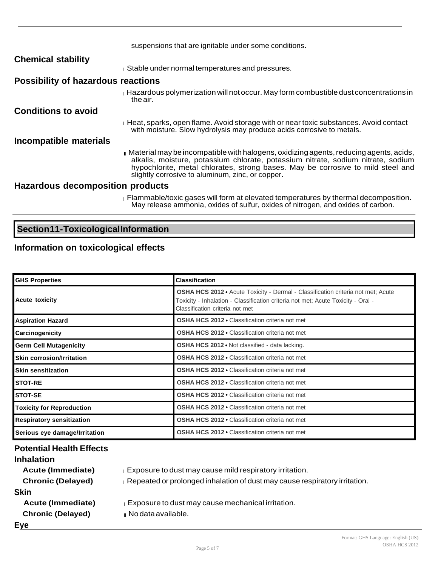|                                           | suspensions that are ignitable under some conditions.                                                                                                                                                                                                                                                            |
|-------------------------------------------|------------------------------------------------------------------------------------------------------------------------------------------------------------------------------------------------------------------------------------------------------------------------------------------------------------------|
| <b>Chemical stability</b>                 |                                                                                                                                                                                                                                                                                                                  |
|                                           | Stable under normal temperatures and pressures.                                                                                                                                                                                                                                                                  |
| <b>Possibility of hazardous reactions</b> |                                                                                                                                                                                                                                                                                                                  |
|                                           | $\mu$ Hazardous polymerization will not occur. May form combustible dust concentrations in<br>the air.                                                                                                                                                                                                           |
| <b>Conditions to avoid</b>                |                                                                                                                                                                                                                                                                                                                  |
|                                           | $_1$ Heat, sparks, open flame. Avoid storage with or near toxic substances. Avoid contact<br>with moisture. Slow hydrolysis may produce acids corrosive to metals.                                                                                                                                               |
| Incompatible materials                    |                                                                                                                                                                                                                                                                                                                  |
|                                           | Material may be incompatible with halogens, oxidizing agents, reducing agents, acids,<br>alkalis, moisture, potassium chlorate, potassium nitrate, sodium nitrate, sodium<br>hypochlorite, metal chlorates, strong bases. May be corrosive to mild steel and<br>slightly corrosive to aluminum, zinc, or copper. |
| Hazardous decomposition products          |                                                                                                                                                                                                                                                                                                                  |
|                                           | Flammable/toxic gases will form at elevated temperatures by thermal decomposition.<br>May release ammonia, oxides of sulfur, oxides of nitrogen, and oxides of carbon.                                                                                                                                           |

# **Section11-ToxicologicalInformation**

# **Information on toxicological effects**

| <b>GHS Properties</b>            | <b>Classification</b>                                                                                                                                                                                          |
|----------------------------------|----------------------------------------------------------------------------------------------------------------------------------------------------------------------------------------------------------------|
| <b>Acute toxicity</b>            | <b>OSHA HCS 2012 •</b> Acute Toxicity - Dermal - Classification criteria not met; Acute<br>Toxicity - Inhalation - Classification criteria not met; Acute Toxicity - Oral -<br>Classification criteria not met |
| <b>Aspiration Hazard</b>         | <b>OSHA HCS 2012 •</b> Classification criteria not met                                                                                                                                                         |
| Carcinogenicity                  | <b>OSHA HCS 2012 • Classification criteria not met</b>                                                                                                                                                         |
| <b>Germ Cell Mutagenicity</b>    | <b>OSHA HCS 2012 • Not classified - data lacking.</b>                                                                                                                                                          |
| <b>Skin corrosion/Irritation</b> | <b>OSHA HCS 2012 • Classification criteria not met</b>                                                                                                                                                         |
| <b>Skin sensitization</b>        | <b>OSHA HCS 2012 • Classification criteria not met</b>                                                                                                                                                         |
| <b>STOT-RE</b>                   | <b>OSHA HCS 2012 • Classification criteria not met</b>                                                                                                                                                         |
| <b>STOT-SE</b>                   | <b>OSHA HCS 2012 • Classification criteria not met</b>                                                                                                                                                         |
| <b>Toxicity for Reproduction</b> | <b>OSHA HCS 2012 • Classification criteria not met</b>                                                                                                                                                         |
| <b>Respiratory sensitization</b> | <b>OSHA HCS 2012 • Classification criteria not met</b>                                                                                                                                                         |
| Serious eye damage/Irritation    | <b>OSHA HCS 2012 • Classification criteria not met</b>                                                                                                                                                         |

| <b>Potential Health Effects</b> |                                                                            |
|---------------------------------|----------------------------------------------------------------------------|
| <b>Inhalation</b>               |                                                                            |
| <b>Acute (Immediate)</b>        | Exposure to dust may cause mild respiratory irritation.                    |
| <b>Chronic (Delayed)</b>        | Repeated or prolonged inhalation of dust may cause respiratory irritation. |
| <b>Skin</b>                     |                                                                            |
| <b>Acute (Immediate)</b>        | Exposure to dust may cause mechanical irritation.                          |
| <b>Chronic (Delayed)</b>        | No data available.                                                         |
| Eye                             |                                                                            |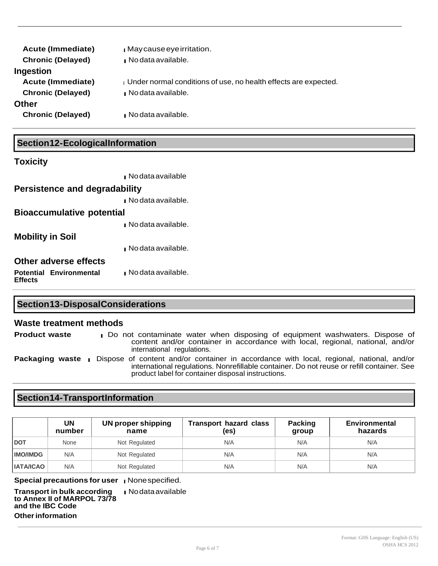| <b>Acute (Immediate)</b><br><b>Chronic (Delayed)</b> | Maycause eye irritation.<br>No data available.                  |
|------------------------------------------------------|-----------------------------------------------------------------|
| Ingestion                                            |                                                                 |
| <b>Acute (Immediate)</b>                             | Under normal conditions of use, no health effects are expected. |
| <b>Chronic (Delayed)</b>                             | $\blacksquare$ No data available.                               |
| Other                                                |                                                                 |
| <b>Chronic (Delayed)</b>                             | $\blacksquare$ No data available.                               |
|                                                      |                                                                 |

### **Section12-EcologicalInformation**

### **Toxicity**

|                                    | $\blacksquare$ No data available  |
|------------------------------------|-----------------------------------|
| Persistence and degradability      |                                   |
|                                    | $\blacksquare$ No data available. |
| <b>Bioaccumulative potential</b>   |                                   |
|                                    | $\blacksquare$ No data available. |
| Mobility in Soil                   |                                   |
|                                    | $\blacksquare$ No data available. |
| Other adverse effects              |                                   |
| Potential Environmental<br>Effects | $\blacksquare$ No data available. |

### **Section13-DisposalConsiderations**

#### **Waste treatment methods**

**Product waste l** Do not contaminate water when disposing of equipment washwaters. Dispose of content and/or container in accordance with local, regional, national, and/or international regulations.

**Packaging waste** l Dispose of content and/or container in accordance with local, regional, national, and/or international regulations. Nonrefillable container. Do not reuse or refill container. See product label for container disposal instructions.

### **Section14-TransportInformation**

|                  | UN<br>number | UN proper shipping<br>name | <b>Transport hazard class</b><br>(es) | Packing<br>group | Environmental<br>hazards |
|------------------|--------------|----------------------------|---------------------------------------|------------------|--------------------------|
| <b>DOT</b>       | None         | Not Regulated              | N/A                                   | N/A              | N/A                      |
| <b>IMO/IMDG</b>  | N/A          | Not Regulated              | N/A                                   | N/A              | N/A                      |
| <b>IATA/ICAO</b> | N/A          | Not Regulated              | N/A                                   | N/A              | N/A                      |

**Special precautions for user I** None specified.

**Transport in bulk according to Annex II of MARPOL 73/78 and the IBC Code Other information** l Nodata available